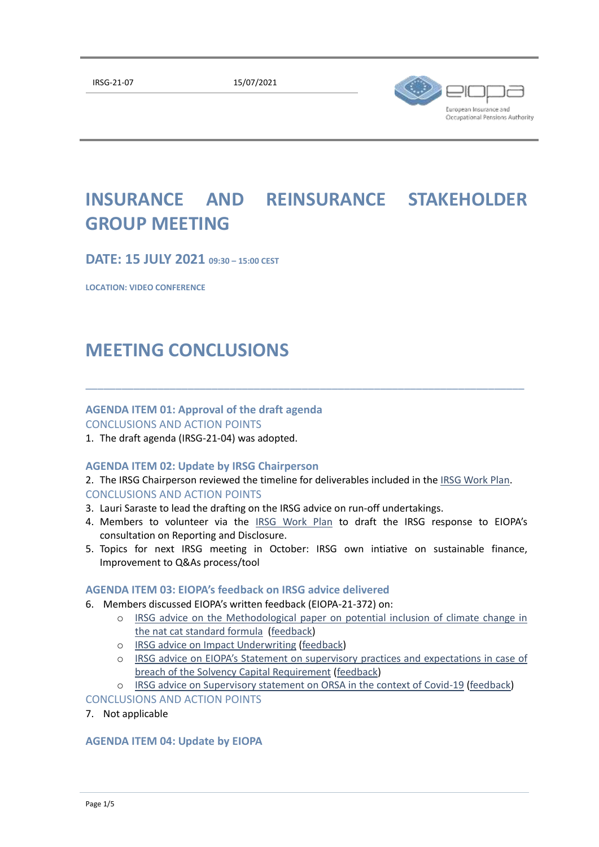

# **INSURANCE AND REINSURANCE STAKEHOLDER GROUP MEETING**

**DATE: 15 JULY 2021 09:30 – 15:00 CEST**

**LOCATION: VIDEO CONFERENCE**

## **MEETING CONCLUSIONS**

#### **AGENDA ITEM 01: Approval of the draft agenda**

CONCLUSIONS AND ACTION POINTS

1. The draft agenda (IRSG-21-04) was adopted.

#### **AGENDA ITEM 02: Update by IRSG Chairperson**

2. The IRSG Chairperson reviewed the timeline for deliverables included in the [IRSG Work Plan.](https://extranet.eiopa.europa.eu/stcms/sc8/pg1/_layouts/15/start.aspx#/Lists/IRSG_Work_Plan/OPSG%20Work%20Plan%20%20TABLE%201.aspx) CONCLUSIONS AND ACTION POINTS

\_\_\_\_\_\_\_\_\_\_\_\_\_\_\_\_\_\_\_\_\_\_\_\_\_\_\_\_\_\_\_\_\_\_\_\_\_\_\_\_\_\_\_\_\_\_\_\_\_\_\_\_\_\_\_\_\_\_\_\_\_\_\_\_\_\_\_\_\_\_\_\_\_

- 3. Lauri Saraste to lead the drafting on the IRSG advice on run-off undertakings.
- 4. Members to volunteer via the [IRSG Work Plan](https://extranet.eiopa.europa.eu/stcms/sc8/pg1/_layouts/15/start.aspx#/Lists/IRSG%20Work%20Plan/IRSGWorkPlan.aspx) to draft the IRSG response to EIOPA's consultation on Reporting and Disclosure.
- 5. Topics for next IRSG meeting in October: IRSG own intiative on sustainable finance, Improvement to Q&As process/tool

#### **AGENDA ITEM 03: EIOPA's feedback on IRSG advice delivered**

- 6. Members discussed EIOPA's written feedback (EIOPA-21-372) on:
	- o [IRSG advice on the Methodological paper on potential inclusion of climate change in](https://www.eiopa.europa.eu/content/irsg-advice-methodology-potential-inclusion-of-climate-change-nat-cat-standard-formula)  [the nat cat standard formula](https://www.eiopa.europa.eu/content/irsg-advice-methodology-potential-inclusion-of-climate-change-nat-cat-standard-formula) [\(feedback\)](https://www.eiopa.europa.eu/content/eiopa-further-contributes-sustainable-finance_en)
	- o [IRSG advice on Impact Underwriting](https://www.eiopa.europa.eu/content/irsg-advice-non-life-underwriting-and-pricing-light-of-climate-change) [\(feedback\)](https://www.eiopa.europa.eu/content/eiopa-further-contributes-sustainable-finance_en)
	- o [IRSG advice on EIOPA's Statement on supervisory](https://www.eiopa.europa.eu/content/irsg-advice-eiopa’s-statement-supervisory-practices-and-expectations-case-of-breach-of) practices and expectations in case of [breach of the Solvency Capital Requirement](https://www.eiopa.europa.eu/content/irsg-advice-eiopa’s-statement-supervisory-practices-and-expectations-case-of-breach-of) [\(feedback\)](https://www.eiopa.europa.eu/content/supervisory-statement-supervisory-practices-and-expectations-case-of-breach-of-solvency_en)

#### o [IRSG advice on Supervisory statement on ORSA in the context of Covid-19](https://www.eiopa.europa.eu/content/irsg-advice-eiopa’s-consultation-supervisory-statement-orsa-context-of-covid-19) [\(feedback\)](https://www.eiopa.europa.eu/content/supervisory-statement-orsa-context-of-covid-19-0_en) CONCLUSIONS AND ACTION POINTS

7. Not applicable

#### **AGENDA ITEM 04: Update by EIOPA**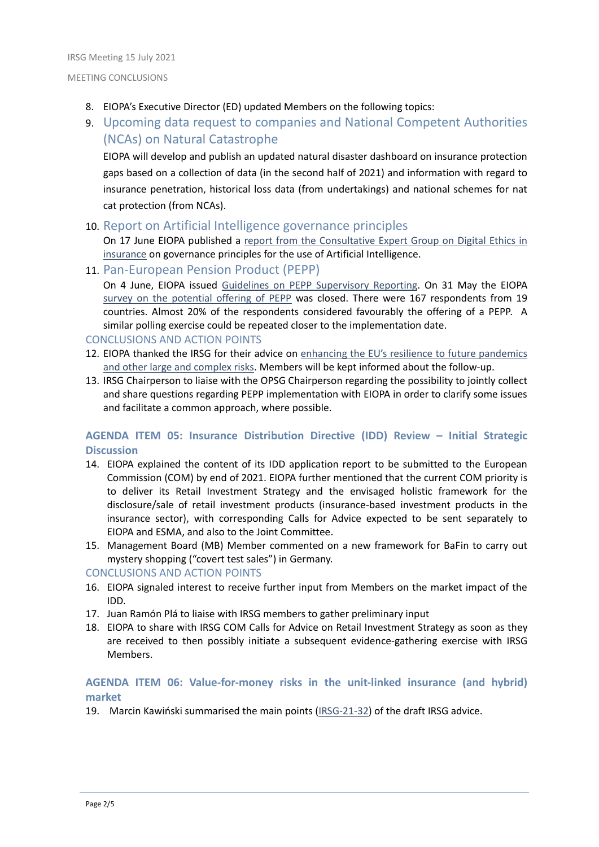- 8. EIOPA's Executive Director (ED) updated Members on the following topics:
- 9. Upcoming data request to companies and National Competent Authorities (NCAs) on Natural Catastrophe

EIOPA will develop and publish an updated natural disaster dashboard on insurance protection gaps based on a collection of data (in the second half of 2021) and information with regard to insurance penetration, historical loss data (from undertakings) and national schemes for nat cat protection (from NCAs).

## 10. Report on Artificial Intelligence governance principles

On 17 June EIOPA published a report from the [Consultative Expert Group on Digital Ethics in](https://www.eiopa.europa.eu/content/eiopa-publishes-report-artificial-intelligence-governance-principles_en)  [insurance](https://www.eiopa.europa.eu/content/eiopa-publishes-report-artificial-intelligence-governance-principles_en) on governance principles for the use of Artificial Intelligence.

11. Pan-European Pension Product (PEPP)

On 4 June, EIOPA issued [Guidelines on PEPP Supervisory Reporting.](https://www.eiopa.europa.eu/content/eiopa-issues-guidelines-supervisory-reporting-pan-european-personal-pension-product_en) On 31 May the EIOPA [survey on the potential offering of PEPP](https://www.eiopa.europa.eu/content/survey-potential-offering-of-pan-european-personal-pension-product-pepp_en) was closed. There were 167 respondents from 19 countries. Almost 20% of the respondents considered favourably the offering of a PEPP. A similar polling exercise could be repeated closer to the implementation date.

### CONCLUSIONS AND ACTION POINTS

- 12. EIOPA thanked the IRSG for their advice on [enhancing the EU's resilience to future pandemics](https://www.eiopa.europa.eu/content/irsg-advice-enhancing-eu’s-resilience-future-pandemics-and-other-large-and-complex-risks)  [and other large and complex risks.](https://www.eiopa.europa.eu/content/irsg-advice-enhancing-eu’s-resilience-future-pandemics-and-other-large-and-complex-risks) Members will be kept informed about the follow-up.
- 13. IRSG Chairperson to liaise with the OPSG Chairperson regarding the possibility to jointly collect and share questions regarding PEPP implementation with EIOPA in order to clarify some issues and facilitate a common approach, where possible.

## **AGENDA ITEM 05: Insurance Distribution Directive (IDD) Review – Initial Strategic Discussion**

- 14. EIOPA explained the content of its IDD application report to be submitted to the European Commission (COM) by end of 2021. EIOPA further mentioned that the current COM priority is to deliver its Retail Investment Strategy and the envisaged holistic framework for the disclosure/sale of retail investment products (insurance-based investment products in the insurance sector), with corresponding Calls for Advice expected to be sent separately to EIOPA and ESMA, and also to the Joint Committee.
- 15. Management Board (MB) Member commented on a new framework for BaFin to carry out mystery shopping ("covert test sales") in Germany.

#### CONCLUSIONS AND ACTION POINTS

- 16. EIOPA signaled interest to receive further input from Members on the market impact of the IDD.
- 17. Juan Ramón Plá to liaise with IRSG members to gather preliminary input
- 18. EIOPA to share with IRSG COM Calls for Advice on Retail Investment Strategy as soon as they are received to then possibly initiate a subsequent evidence-gathering exercise with IRSG Members.

## **AGENDA ITEM 06: Value-for-money risks in the unit-linked insurance (and hybrid) market**

19. Marcin Kawiński summarised the main points [\(IRSG-21-32\)](https://extranet.eiopa.europa.eu/stcms/sc8/pg1/Shared%20Documents/2021/2021-07-15) of the draft IRSG advice.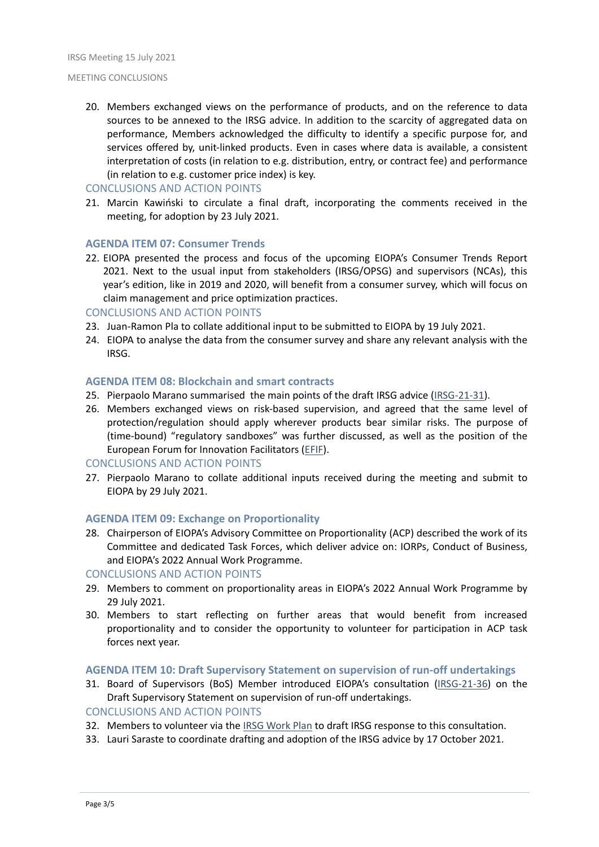20. Members exchanged views on the performance of products, and on the reference to data sources to be annexed to the IRSG advice. In addition to the scarcity of aggregated data on performance, Members acknowledged the difficulty to identify a specific purpose for, and services offered by, unit-linked products. Even in cases where data is available, a consistent interpretation of costs (in relation to e.g. distribution, entry, or contract fee) and performance (in relation to e.g. customer price index) is key.

#### CONCLUSIONS AND ACTION POINTS

21. Marcin Kawiński to circulate a final draft, incorporating the comments received in the meeting, for adoption by 23 July 2021.

#### **AGENDA ITEM 07: Consumer Trends**

22. EIOPA presented the process and focus of the upcoming EIOPA's Consumer Trends Report 2021. Next to the usual input from stakeholders (IRSG/OPSG) and supervisors (NCAs), this year's edition, like in 2019 and 2020, will benefit from a consumer survey, which will focus on claim management and price optimization practices.

#### CONCLUSIONS AND ACTION POINTS

- 23. Juan-Ramon Pla to collate additional input to be submitted to EIOPA by 19 July 2021.
- 24. EIOPA to analyse the data from the consumer survey and share any relevant analysis with the IRSG.

#### **AGENDA ITEM 08: Blockchain and smart contracts**

- 25. Pierpaolo Marano summarised the main points of the draft IRSG advice [\(IRSG-21-31\)](https://extranet.eiopa.europa.eu/stcms/sc8/pg1/Shared%20Documents/2021/2021-07-15).
- 26. Members exchanged views on risk-based supervision, and agreed that the same level of protection/regulation should apply wherever products bear similar risks. The purpose of (time-bound) "regulatory sandboxes" was further discussed, as well as the position of the European Forum for Innovation Facilitators [\(EFIF\)](https://esas-joint-committee.europa.eu/Pages/Activities/EFIF/European-Forum-for-Innovation-Facilitators.aspx).

#### CONCLUSIONS AND ACTION POINTS

27. Pierpaolo Marano to collate additional inputs received during the meeting and submit to EIOPA by 29 July 2021.

#### **AGENDA ITEM 09: Exchange on Proportionality**

28. Chairperson of EIOPA's Advisory Committee on Proportionality (ACP) described the work of its Committee and dedicated Task Forces, which deliver advice on: IORPs, Conduct of Business, and EIOPA's 2022 Annual Work Programme.

#### CONCLUSIONS AND ACTION POINTS

- 29. Members to comment on proportionality areas in EIOPA's 2022 Annual Work Programme by 29 July 2021.
- 30. Members to start reflecting on further areas that would benefit from increased proportionality and to consider the opportunity to volunteer for participation in ACP task forces next year.

#### **AGENDA ITEM 10: Draft Supervisory Statement on supervision of run-off undertakings**

31. Board of Supervisors (BoS) Member introduced EIOPA's consultation [\(IRSG-21-36\)](https://extranet.eiopa.europa.eu/stcms/sc8/pg1/Shared%20Documents/2021/2021-07-15) on the Draft Supervisory Statement on supervision of run-off undertakings.

#### CONCLUSIONS AND ACTION POINTS

- 32. Members to volunteer via the [IRSG Work Plan](https://extranet.eiopa.europa.eu/stcms/sc8/pg1/_layouts/15/start.aspx#/Lists/IRSG%20Work%20Plan/IRSGWorkPlan.aspx) to draft IRSG response to this consultation.
- 33. Lauri Saraste to coordinate drafting and adoption of the IRSG advice by 17 October 2021.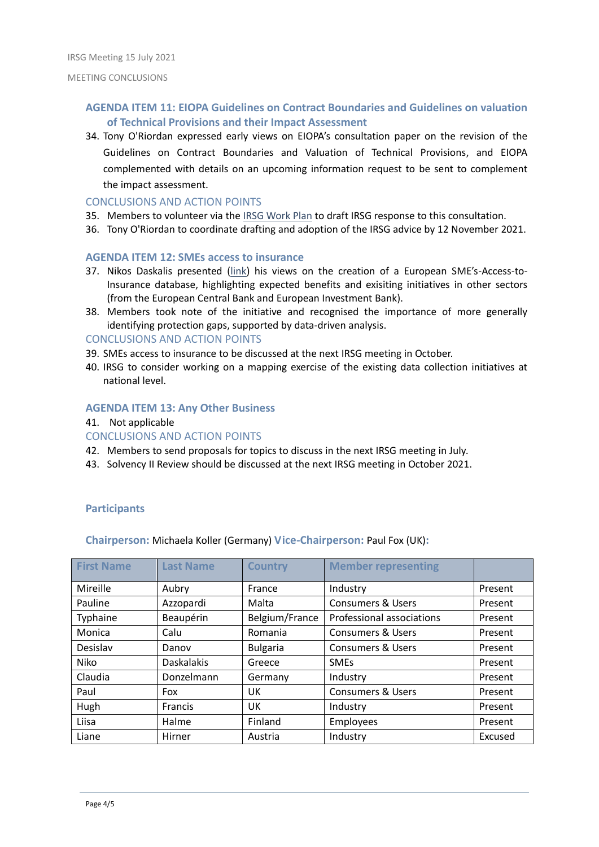### **AGENDA ITEM 11: EIOPA Guidelines on Contract Boundaries and Guidelines on valuation of Technical Provisions and their Impact Assessment**

34. Tony O'Riordan expressed early views on EIOPA's consultation paper on the revision of the Guidelines on Contract Boundaries and Valuation of Technical Provisions, and EIOPA complemented with details on an upcoming information request to be sent to complement the impact assessment.

#### CONCLUSIONS AND ACTION POINTS

- 35. Members to volunteer via the [IRSG Work Plan](https://extranet.eiopa.europa.eu/stcms/sc8/pg1/_layouts/15/start.aspx#/Lists/IRSG%20Work%20Plan/IRSGWorkPlan.aspx) to draft IRSG response to this consultation.
- 36. Tony O'Riordan to coordinate drafting and adoption of the IRSG advice by 12 November 2021.

#### **AGENDA ITEM 12: SMEs access to insurance**

- 37. Nikos Daskalis presented [\(link](https://extranet.eiopa.europa.eu/stcms/sc8/pg1/Shared%20Documents/2021/2021-07-15)) his views on the creation of a European SME's-Access-to-Insurance database, highlighting expected benefits and exisiting initiatives in other sectors (from the European Central Bank and European Investment Bank).
- 38. Members took note of the initiative and recognised the importance of more generally identifying protection gaps, supported by data-driven analysis.

#### CONCLUSIONS AND ACTION POINTS

- 39. SMEs access to insurance to be discussed at the next IRSG meeting in October.
- 40. IRSG to consider working on a mapping exercise of the existing data collection initiatives at national level.

#### **AGENDA ITEM 13: Any Other Business**

41. Not applicable

#### CONCLUSIONS AND ACTION POINTS

- 42. Members to send proposals for topics to discuss in the next IRSG meeting in July.
- 43. Solvency II Review should be discussed at the next IRSG meeting in October 2021.

#### **Participants**

#### **Chairperson:** Michaela Koller (Germany) **Vice-Chairperson:** Paul Fox (UK)**:**

| <b>First Name</b> | <b>Last Name</b>  | <b>Country</b>  | <b>Member representing</b>   |         |
|-------------------|-------------------|-----------------|------------------------------|---------|
| Mireille          | Aubry             | France          | Industry                     | Present |
| Pauline           | Azzopardi         | Malta           | <b>Consumers &amp; Users</b> | Present |
| Typhaine          | Beaupérin         | Belgium/France  | Professional associations    | Present |
| Monica            | Calu              | Romania         | <b>Consumers &amp; Users</b> | Present |
| Desislav          | Danov             | <b>Bulgaria</b> | <b>Consumers &amp; Users</b> | Present |
| Niko              | <b>Daskalakis</b> | Greece          | <b>SMEs</b>                  | Present |
| Claudia           | Donzelmann        | Germany         | Industry                     | Present |
| Paul              | Fox               | UK              | <b>Consumers &amp; Users</b> | Present |
| Hugh              | <b>Francis</b>    | UK              | Industry                     | Present |
| Liisa             | Halme             | Finland         | Employees                    | Present |
| Liane             | Hirner            | Austria         | Industry                     | Excused |